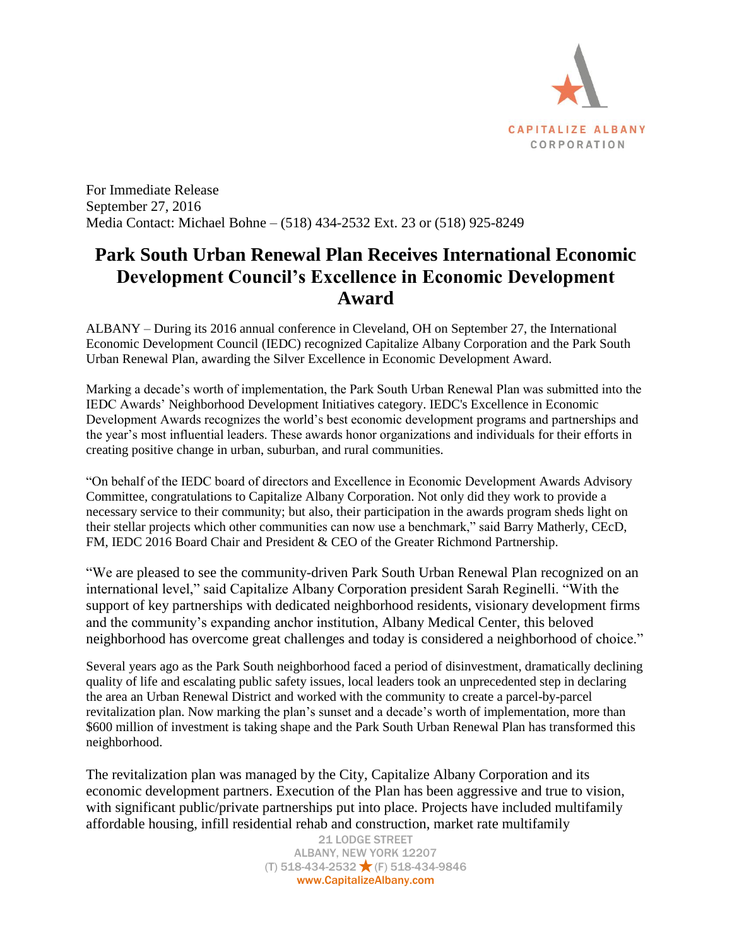

For Immediate Release September 27, 2016 Media Contact: Michael Bohne – (518) 434-2532 Ext. 23 or (518) 925-8249

## **Park South Urban Renewal Plan Receives International Economic Development Council's Excellence in Economic Development Award**

ALBANY – During its 2016 annual conference in Cleveland, OH on September 27, the International Economic Development Council (IEDC) recognized Capitalize Albany Corporation and the Park South Urban Renewal Plan, awarding the Silver Excellence in Economic Development Award.

Marking a decade's worth of implementation, the Park South Urban Renewal Plan was submitted into the IEDC Awards' Neighborhood Development Initiatives category. IEDC's Excellence in Economic Development Awards recognizes the world's best economic development programs and partnerships and the year's most influential leaders. These awards honor organizations and individuals for their efforts in creating positive change in urban, suburban, and rural communities.

"On behalf of the IEDC board of directors and Excellence in Economic Development Awards Advisory Committee, congratulations to Capitalize Albany Corporation. Not only did they work to provide a necessary service to their community; but also, their participation in the awards program sheds light on their stellar projects which other communities can now use a benchmark," said Barry Matherly, CEcD, FM, IEDC 2016 Board Chair and President & CEO of the Greater Richmond Partnership.

"We are pleased to see the community-driven Park South Urban Renewal Plan recognized on an international level," said Capitalize Albany Corporation president Sarah Reginelli. "With the support of key partnerships with dedicated neighborhood residents, visionary development firms and the community's expanding anchor institution, Albany Medical Center, this beloved neighborhood has overcome great challenges and today is considered a neighborhood of choice."

Several years ago as the Park South neighborhood faced a period of disinvestment, dramatically declining quality of life and escalating public safety issues, local leaders took an unprecedented step in declaring the area an Urban Renewal District and worked with the community to create a parcel-by-parcel revitalization plan. Now marking the plan's sunset and a decade's worth of implementation, more than \$600 million of investment is taking shape and the Park South Urban Renewal Plan has transformed this neighborhood.

The revitalization plan was managed by the City, Capitalize Albany Corporation and its economic development partners. Execution of the Plan has been aggressive and true to vision, with significant public/private partnerships put into place. Projects have included multifamily affordable housing, infill residential rehab and construction, market rate multifamily

> 21 LODGE STREET ALBANY, NEW YORK 12207  $(T)$  518-434-2532  $\bigstar$  (F) 518-434-9846 www.CapitalizeAlbany.com